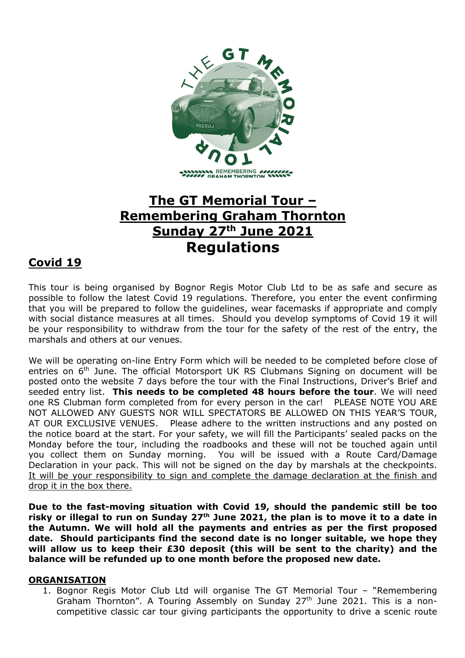

# **The GT Memorial Tour – Remembering Graham Thornton Sunday 27th June 2021 Regulations**

# **Covid 19**

This tour is being organised by Bognor Regis Motor Club Ltd to be as safe and secure as possible to follow the latest Covid 19 regulations. Therefore, you enter the event confirming that you will be prepared to follow the guidelines, wear facemasks if appropriate and comply with social distance measures at all times. Should you develop symptoms of Covid 19 it will be your responsibility to withdraw from the tour for the safety of the rest of the entry, the marshals and others at our venues.

We will be operating on-line Entry Form which will be needed to be completed before close of entries on 6<sup>th</sup> June. The official Motorsport UK RS Clubmans Signing on document will be posted onto the website 7 days before the tour with the Final Instructions, Driver's Brief and seeded entry list. **This needs to be completed 48 hours before the tour**. We will need one RS Clubman form completed from for every person in the car! PLEASE NOTE YOU ARE NOT ALLOWED ANY GUESTS NOR WILL SPECTATORS BE ALLOWED ON THIS YEAR'S TOUR, AT OUR EXCLUSIVE VENUES. Please adhere to the written instructions and any posted on the notice board at the start. For your safety, we will fill the Participants' sealed packs on the Monday before the tour, including the roadbooks and these will not be touched again until you collect them on Sunday morning. You will be issued with a Route Card/Damage Declaration in your pack. This will not be signed on the day by marshals at the checkpoints. It will be your responsibility to sign and complete the damage declaration at the finish and drop it in the box there.

**Due to the fast-moving situation with Covid 19, should the pandemic still be too risky or illegal to run on Sunday 27th June 2021, the plan is to move it to a date in the Autumn. We will hold all the payments and entries as per the first proposed date. Should participants find the second date is no longer suitable, we hope they will allow us to keep their £30 deposit (this will be sent to the charity) and the balance will be refunded up to one month before the proposed new date.**

#### **ORGANISATION**

1. Bognor Regis Motor Club Ltd will organise The GT Memorial Tour – "Remembering Graham Thornton". A Touring Assembly on Sunday 27<sup>th</sup> June 2021. This is a noncompetitive classic car tour giving participants the opportunity to drive a scenic route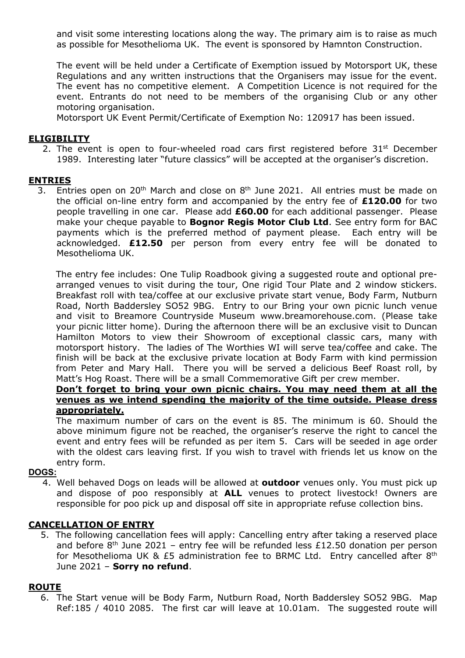and visit some interesting locations along the way. The primary aim is to raise as much as possible for Mesothelioma UK. The event is sponsored by Hamnton Construction.

The event will be held under a Certificate of Exemption issued by Motorsport UK, these Regulations and any written instructions that the Organisers may issue for the event. The event has no competitive element. A Competition Licence is not required for the event. Entrants do not need to be members of the organising Club or any other motoring organisation.

Motorsport UK Event Permit/Certificate of Exemption No: 120917 has been issued.

#### **ELIGIBILITY**

2. The event is open to four-wheeled road cars first registered before  $31<sup>st</sup>$  December 1989. Interesting later "future classics" will be accepted at the organiser's discretion.

#### **ENTRIES**

3. Entries open on  $20<sup>th</sup>$  March and close on  $8<sup>th</sup>$  June 2021. All entries must be made on the official on-line entry form and accompanied by the entry fee of **£120.00** for two people travelling in one car. Please add **£60.00** for each additional passenger. Please make your cheque payable to **Bognor Regis Motor Club Ltd**. See entry form for BAC payments which is the preferred method of payment please. Each entry will be acknowledged. **£12.50** per person from every entry fee will be donated to Mesothelioma UK.

The entry fee includes: One Tulip Roadbook giving a suggested route and optional prearranged venues to visit during the tour, One rigid Tour Plate and 2 window stickers. Breakfast roll with tea/coffee at our exclusive private start venue, Body Farm, Nutburn Road, North Baddersley SO52 9BG. Entry to our Bring your own picnic lunch venue and visit to Breamore Countryside Museum www.breamorehouse.com. (Please take your picnic litter home). During the afternoon there will be an exclusive visit to Duncan Hamilton Motors to view their Showroom of exceptional classic cars, many with motorsport history. The ladies of The Worthies WI will serve tea/coffee and cake. The finish will be back at the exclusive private location at Body Farm with kind permission from Peter and Mary Hall. There you will be served a delicious Beef Roast roll, by Matt's Hog Roast. There will be a small Commemorative Gift per crew member.

#### **Don't forget to bring your own picnic chairs. You may need them at all the venues as we intend spending the majority of the time outside. Please dress appropriately.**

The maximum number of cars on the event is 85. The minimum is 60. Should the above minimum figure not be reached, the organiser's reserve the right to cancel the event and entry fees will be refunded as per item 5. Cars will be seeded in age order with the oldest cars leaving first. If you wish to travel with friends let us know on the entry form.

#### **DOGS:**

4. Well behaved Dogs on leads will be allowed at **outdoor** venues only. You must pick up and dispose of poo responsibly at **ALL** venues to protect livestock! Owners are responsible for poo pick up and disposal off site in appropriate refuse collection bins.

#### **CANCELLATION OF ENTRY**

 5. The following cancellation fees will apply: Cancelling entry after taking a reserved place and before  $8<sup>th</sup>$  June 2021 – entry fee will be refunded less £12.50 donation per person for Mesothelioma UK & £5 administration fee to BRMC Ltd. Entry cancelled after  $8<sup>th</sup>$ June 2021 – **Sorry no refund**.

#### **ROUTE**

 6. The Start venue will be Body Farm, Nutburn Road, North Baddersley SO52 9BG. Map Ref:185 / 4010 2085. The first car will leave at 10.01am. The suggested route will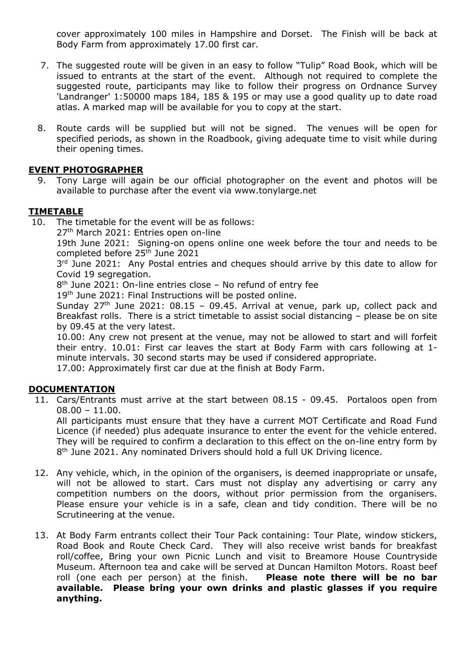cover approximately 100 miles in Hampshire and Dorset. The Finish will be back at Body Farm from approximately 17.00 first car.

- 7. The suggested route will be given in an easy to follow "Tulip" Road Book, which will be issued to entrants at the start of the event. Although not required to complete the suggested route, participants may like to follow their progress on Ordnance Survey 'Landranger' 1:50000 maps 184, 185 & 195 or may use a good quality up to date road atlas. A marked map will be available for you to copy at the start.
- 8. Route cards will be supplied but will not be signed. The venues will be open for specified periods, as shown in the Roadbook, giving adequate time to visit while during their opening times.

### **EVENT PHOTOGRAPHER**

 9. Tony Large will again be our official photographer on the event and photos will be available to purchase after the event via www.tonylarge.net

#### **TIMETABLE**

10. The timetable for the event will be as follows:

27th March 2021: Entries open on-line

19th June 2021: Signing-on opens online one week before the tour and needs to be completed before 25<sup>th</sup> June 2021

3<sup>rd</sup> June 2021: Any Postal entries and cheques should arrive by this date to allow for Covid 19 segregation.

8<sup>th</sup> June 2021: On-line entries close - No refund of entry fee

19<sup>th</sup> June 2021: Final Instructions will be posted online.

Sunday  $27<sup>th</sup>$  June 2021: 08.15 – 09.45. Arrival at venue, park up, collect pack and Breakfast rolls. There is a strict timetable to assist social distancing – please be on site by 09.45 at the very latest.

10.00: Any crew not present at the venue, may not be allowed to start and will forfeit their entry. 10.01: First car leaves the start at Body Farm with cars following at 1 minute intervals. 30 second starts may be used if considered appropriate.

17.00: Approximately first car due at the finish at Body Farm.

# **DOCUMENTATION**

 11. Cars/Entrants must arrive at the start between 08.15 - 09.45. Portaloos open from  $08.00 - 11.00$ .

All participants must ensure that they have a current MOT Certificate and Road Fund Licence (if needed) plus adequate insurance to enter the event for the vehicle entered. They will be required to confirm a declaration to this effect on the on-line entry form by 8<sup>th</sup> June 2021. Any nominated Drivers should hold a full UK Driving licence.

- 12. Any vehicle, which, in the opinion of the organisers, is deemed inappropriate or unsafe, will not be allowed to start. Cars must not display any advertising or carry any competition numbers on the doors, without prior permission from the organisers. Please ensure your vehicle is in a safe, clean and tidy condition. There will be no Scrutineering at the venue.
- 13. At Body Farm entrants collect their Tour Pack containing: Tour Plate, window stickers, Road Book and Route Check Card. They will also receive wrist bands for breakfast roll/coffee, Bring your own Picnic Lunch and visit to Breamore House Countryside Museum. Afternoon tea and cake will be served at Duncan Hamilton Motors. Roast beef roll (one each per person) at the finish. **Please note there will be no bar available. Please bring your own drinks and plastic glasses if you require anything.**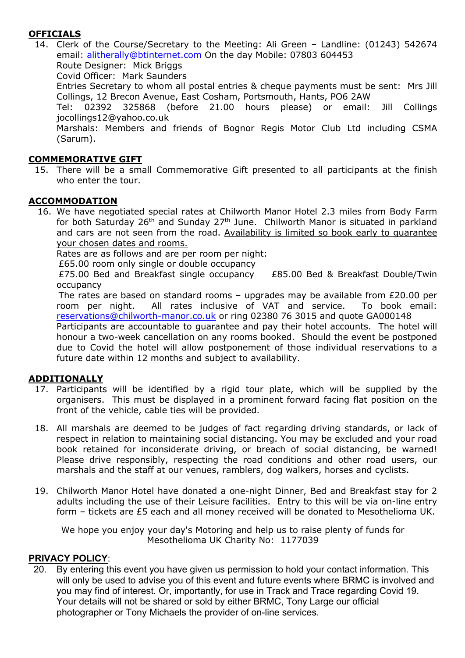# **OFFICIALS**

 14. Clerk of the Course/Secretary to the Meeting: Ali Green – Landline: (01243) 542674 email: alitherally@btinternet.com On the day Mobile: 07803 604453 Route Designer: Mick Briggs Covid Officer: Mark Saunders Entries Secretary to whom all postal entries & cheque payments must be sent: Mrs Jill Collings, 12 Brecon Avenue, East Cosham, Portsmouth, Hants, PO6 2AW Tel: 02392 325868 (before 21.00 hours please) or email: Jill Collings jocollings12@yahoo.co.uk Marshals: Members and friends of Bognor Regis Motor Club Ltd including CSMA (Sarum).

# **COMMEMORATIVE GIFT**

 15. There will be a small Commemorative Gift presented to all participants at the finish who enter the tour.

### **ACCOMMODATION**

 16. We have negotiated special rates at Chilworth Manor Hotel 2.3 miles from Body Farm for both Saturday  $26<sup>th</sup>$  and Sunday  $27<sup>th</sup>$  June. Chilworth Manor is situated in parkland and cars are not seen from the road. Availability is limited so book early to guarantee your chosen dates and rooms.

Rates are as follows and are per room per night:

£65.00 room only single or double occupancy

 £75.00 Bed and Breakfast single occupancy £85.00 Bed & Breakfast Double/Twin occupancy

 The rates are based on standard rooms – upgrades may be available from £20.00 per room per night. All rates inclusive of VAT and service. To book email: reservations@chilworth-manor.co.uk or ring 02380 76 3015 and quote GA000148

Participants are accountable to guarantee and pay their hotel accounts. The hotel will honour a two-week cancellation on any rooms booked. Should the event be postponed due to Covid the hotel will allow postponement of those individual reservations to a future date within 12 months and subject to availability.

#### **ADDITIONALLY**

- 17. Participants will be identified by a rigid tour plate, which will be supplied by the organisers. This must be displayed in a prominent forward facing flat position on the front of the vehicle, cable ties will be provided.
- 18. All marshals are deemed to be judges of fact regarding driving standards, or lack of respect in relation to maintaining social distancing. You may be excluded and your road book retained for inconsiderate driving, or breach of social distancing, be warned! Please drive responsibly, respecting the road conditions and other road users, our marshals and the staff at our venues, ramblers, dog walkers, horses and cyclists.
- 19. Chilworth Manor Hotel have donated a one-night Dinner, Bed and Breakfast stay for 2 adults including the use of their Leisure facilities. Entry to this will be via on-line entry form – tickets are £5 each and all money received will be donated to Mesothelioma UK.

We hope you enjoy your day's Motoring and help us to raise plenty of funds for Mesothelioma UK Charity No: 1177039

#### **PRIVACY POLICY**:

 20. By entering this event you have given us permission to hold your contact information. This will only be used to advise you of this event and future events where BRMC is involved and you may find of interest. Or, importantly, for use in Track and Trace regarding Covid 19. Your details will not be shared or sold by either BRMC, Tony Large our official photographer or Tony Michaels the provider of on-line services.